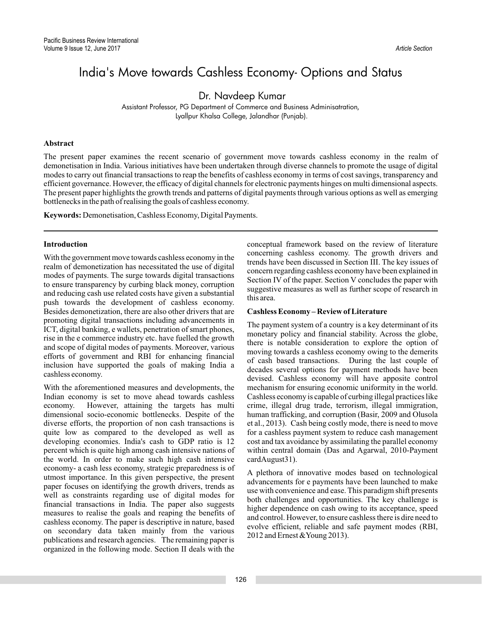# India's Move towards Cashless Economy- Options and Status

Dr. Navdeep Kumar

Assistant Professor, PG Department of Commerce and Business Adminisatration, Lyallpur Khalsa College, Jalandhar (Punjab).

# **Abstract**

The present paper examines the recent scenario of government move towards cashless economy in the realm of demonetisation in India. Various initiatives have been undertaken through diverse channels to promote the usage of digital modes to carry out financial transactions to reap the benefits of cashless economy in terms of cost savings, transparency and efficient governance. However, the efficacy of digital channels for electronic payments hinges on multi dimensional aspects. The present paper highlights the growth trends and patterns of digital payments through various options as well as emerging bottlenecks in the path of realising the goals of cashless economy.

**Keywords:** Demonetisation, Cashless Economy, Digital Payments.

# **Introduction**

With the government move towards cashless economy in the realm of demonetization has necessitated the use of digital modes of payments. The surge towards digital transactions to ensure transparency by curbing black money, corruption and reducing cash use related costs have given a substantial push towards the development of cashless economy. Besides demonetization, there are also other drivers that are promoting digital transactions including advancements in ICT, digital banking, e wallets, penetration of smart phones, rise in the e commerce industry etc. have fuelled the growth and scope of digital modes of payments. Moreover, various efforts of government and RBI for enhancing financial inclusion have supported the goals of making India a cashless economy.

With the aforementioned measures and developments, the Indian economy is set to move ahead towards cashless economy. However, attaining the targets has multi dimensional socio-economic bottlenecks. Despite of the diverse efforts, the proportion of non cash transactions is quite low as compared to the developed as well as developing economies. India's cash to GDP ratio is 12 percent which is quite high among cash intensive nations of the world. In order to make such high cash intensive economy- a cash less economy, strategic preparedness is of utmost importance. In this given perspective, the present paper focuses on identifying the growth drivers, trends as well as constraints regarding use of digital modes for financial transactions in India. The paper also suggests measures to realise the goals and reaping the benefits of cashless economy. The paper is descriptive in nature, based on secondary data taken mainly from the various publications and research agencies. The remaining paper is organized in the following mode. Section II deals with the

conceptual framework based on the review of literature concerning cashless economy. The growth drivers and trends have been discussed in Section III. The key issues of concern regarding cashless economy have been explained in Section IV of the paper. Section V concludes the paper with suggestive measures as well as further scope of research in this area.

# **Cashless Economy – Review of Literature**

The payment system of a country is a key determinant of its monetary policy and financial stability. Across the globe, there is notable consideration to explore the option of moving towards a cashless economy owing to the demerits of cash based transactions. During the last couple of decades several options for payment methods have been devised. Cashless economy will have apposite control mechanism for ensuring economic uniformity in the world. Cashless economy is capable of curbing illegal practices like crime, illegal drug trade, terrorism, illegal immigration, human trafficking, and corruption (Basir, 2009 and Olusola et al., 2013). Cash being costly mode, there is need to move for a cashless payment system to reduce cash management cost and tax avoidance by assimilating the parallel economy within central domain (Das and Agarwal, 2010-Payment cardAugust31).

A plethora of innovative modes based on technological advancements for e payments have been launched to make use with convenience and ease. This paradigm shift presents both challenges and opportunities. The key challenge is higher dependence on cash owing to its acceptance, speed and control. However, to ensure cashless there is dire need to evolve efficient, reliable and safe payment modes (RBI, 2012 and Ernest &Young 2013).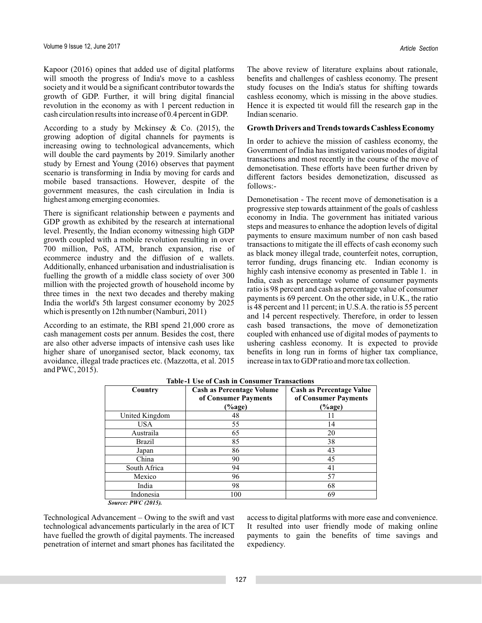Kapoor (2016) opines that added use of digital platforms will smooth the progress of India's move to a cashless society and it would be a significant contributor towards the growth of GDP. Further, it will bring digital financial revolution in the economy as with 1 percent reduction in cash circulation results into increase of 0.4 percent in GDP.

According to a study by Mckinsey  $& Co. (2015)$ , the growing adoption of digital channels for payments is increasing owing to technological advancements, which will double the card payments by 2019. Similarly another study by Ernest and Young (2016) observes that payment scenario is transforming in India by moving for cards and mobile based transactions. However, despite of the government measures, the cash circulation in India is highest among emerging economies.

There is significant relationship between e payments and GDP growth as exhibited by the research at international level. Presently, the Indian economy witnessing high GDP growth coupled with a mobile revolution resulting in over 700 million, PoS, ATM, branch expansion, rise of ecommerce industry and the diffusion of e wallets. Additionally, enhanced urbanisation and industrialisation is fuelling the growth of a middle class society of over 300 million with the projected growth of household income by three times in the next two decades and thereby making India the world's 5th largest consumer economy by 2025 which is presently on 12th number (Namburi, 2011)

According to an estimate, the RBI spend 21,000 crore as cash management costs per annum. Besides the cost, there are also other adverse impacts of intensive cash uses like higher share of unorganised sector, black economy, tax avoidance, illegal trade practices etc. (Mazzotta, et al. 2015 and PWC, 2015).

The above review of literature explains about rationale, benefits and challenges of cashless economy. The present study focuses on the India's status for shifting towards cashless economy, which is missing in the above studies. Hence it is expected tit would fill the research gap in the Indian scenario.

#### **Growth Drivers and Trends towards Cashless Economy**

In order to achieve the mission of cashless economy, the Government of India has instigated various modes of digital transactions and most recently in the course of the move of demonetisation. These efforts have been further driven by different factors besides demonetization, discussed as follows:-

Demonetisation - The recent move of demonetisation is a progressive step towards attainment of the goals of cashless economy in India. The government has initiated various steps and measures to enhance the adoption levels of digital payments to ensure maximum number of non cash based transactions to mitigate the ill effects of cash economy such as black money illegal trade, counterfeit notes, corruption, terror funding, drugs financing etc. Indian economy is highly cash intensive economy as presented in Table 1. in India, cash as percentage volume of consumer payments ratio is 98 percent and cash as percentage value of consumer payments is 69 percent. On the other side, in U.K., the ratio is 48 percent and 11 percent; in U.S.A. the ratio is 55 percent and 14 percent respectively. Therefore, in order to lessen cash based transactions, the move of demonetization coupled with enhanced use of digital modes of payments to ushering cashless economy. It is expected to provide benefits in long run in forms of higher tax compliance, increase in tax to GDPratio and more tax collection.

| Country        | Cash as Percentage Volume<br>of Consumer Payments<br>(%age) | <b>Cash as Percentage Value</b><br>of Consumer Payments<br>(%age) |
|----------------|-------------------------------------------------------------|-------------------------------------------------------------------|
| United Kingdom | 48                                                          | 11                                                                |
| USA.           | 55                                                          | 14                                                                |
| Austraila      | 65                                                          | 20                                                                |
| <b>Brazil</b>  | 85                                                          | 38                                                                |
| Japan          | 86                                                          | 43                                                                |
| China          | 90                                                          | 45                                                                |
| South Africa   | 94                                                          | 41                                                                |
| Mexico         | 96                                                          | 57                                                                |
| India          | 98                                                          | 68                                                                |
| Indonesia      | 100                                                         | 69                                                                |
|                |                                                             |                                                                   |

*Source: PWC (2015).*

Technological Advancement – Owing to the swift and vast technological advancements particularly in the area of ICT have fuelled the growth of digital payments. The increased penetration of internet and smart phones has facilitated the

access to digital platforms with more ease and convenience. It resulted into user friendly mode of making online payments to gain the benefits of time savings and expediency.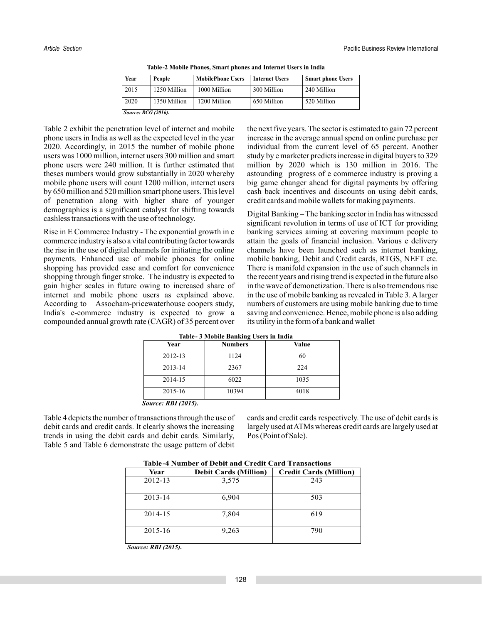| Year                       | People       | <b>MobilePhone Users</b> | <b>Internet Users</b> | <b>Smart phone Users</b> |
|----------------------------|--------------|--------------------------|-----------------------|--------------------------|
| 2015                       | 1250 Million | 1000 Million             | 300 Million           | 240 Million              |
| 2020                       | 1350 Million | 1200 Million             | 650 Million           | 520 Million              |
| <b>Source: BCG (2016).</b> |              |                          |                       |                          |

**Table-2 Mobile Phones, Smart phones and Internet Users in India**

Table 2 exhibit the penetration level of internet and mobile phone users in India as well as the expected level in the year 2020. Accordingly, in 2015 the number of mobile phone users was 1000 million, internet users 300 million and smart phone users were 240 million. It is further estimated that theses numbers would grow substantially in 2020 whereby mobile phone users will count 1200 million, internet users by 650 million and 520 million smart phone users. This level of penetration along with higher share of younger demographics is a significant catalyst for shifting towards cashless transactions with the use of technology.

Rise in E Commerce Industry - The exponential growth in e commerce industry is also a vital contributing factor towards the rise in the use of digital channels for initiating the online payments. Enhanced use of mobile phones for online shopping has provided ease and comfort for convenience shopping through finger stroke. The industry is expected to gain higher scales in future owing to increased share of internet and mobile phone users as explained above. According to Assocham-pricewaterhouse coopers study, India's e-commerce industry is expected to grow a compounded annual growth rate (CAGR) of 35 percent over

the next five years. The sector is estimated to gain 72 percent increase in the average annual spend on online purchase per individual from the current level of 65 percent. Another study by e marketer predicts increase in digital buyers to 329 million by 2020 which is 130 million in 2016. The astounding progress of e commerce industry is proving a big game changer ahead for digital payments by offering cash back incentives and discounts on using debit cards, credit cards and mobile wallets for making payments.

Digital Banking – The banking sector in India has witnessed significant revolution in terms of use of ICT for providing banking services aiming at covering maximum people to attain the goals of financial inclusion. Various e delivery channels have been launched such as internet banking, mobile banking, Debit and Credit cards, RTGS, NEFT etc. There is manifold expansion in the use of such channels in the recent years and rising trend is expected in the future also in the wave of demonetization. There is also tremendous rise in the use of mobile banking as revealed in Table 3. A larger numbers of customers are using mobile banking due to time saving and convenience. Hence, mobile phone is also adding its utility in the form of a bank and wallet

| Year    | <b>Numbers</b> | Value |
|---------|----------------|-------|
| 2012-13 | 1124           | 60    |
| 2013-14 | 2367           | 224   |
| 2014-15 | 6022           | 1035  |
| 2015-16 | 10394          | 4018  |

Table 4 depicts the number of transactions through the use of debit cards and credit cards. It clearly shows the increasing trends in using the debit cards and debit cards. Similarly, Table 5 and Table 6 demonstrate the usage pattern of debit

cards and credit cards respectively. The use of debit cards is largely used atATMs whereas credit cards are largely used at Pos (Point of Sale).

| Table-4 inumber of Debit and Credit Card Transactions |                              |                               |  |  |  |
|-------------------------------------------------------|------------------------------|-------------------------------|--|--|--|
| Year                                                  | <b>Debit Cards (Million)</b> | <b>Credit Cards (Million)</b> |  |  |  |
| 2012-13                                               | 3,575                        | 243                           |  |  |  |
| 2013-14                                               | 6,904                        | 503                           |  |  |  |
| 2014-15                                               | 7,804                        | 619                           |  |  |  |
| $2015 - 16$                                           | 9,263                        | 790                           |  |  |  |

**Table-4 Number of Debit and Credit Card Transactions**

*Source: RBI (2015).*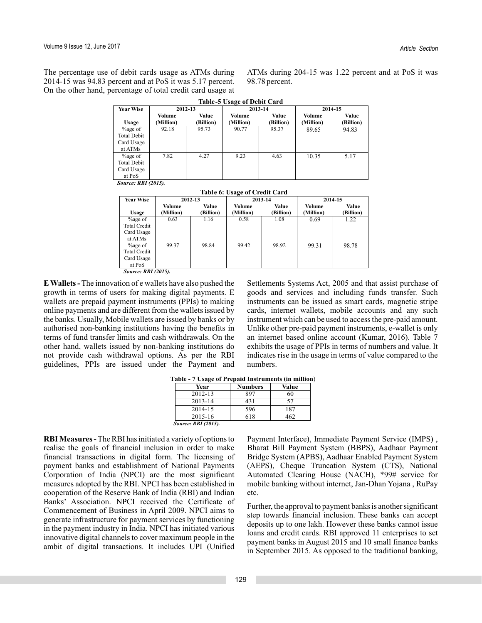The percentage use of debit cards usage as ATMs during 2014-15 was 94.83 percent and at PoS it was 5.17 percent. On the other hand, percentage of total credit card usage at

ATMs during 204-15 was 1.22 percent and at PoS it was 98.78 percent.

|                                                            | <b>Table-5 Usage of Debit Card</b> |                    |                     |                    |                     |                    |
|------------------------------------------------------------|------------------------------------|--------------------|---------------------|--------------------|---------------------|--------------------|
| <b>Year Wise</b>                                           |                                    | 2013-14<br>2012-13 |                     | 2014-15            |                     |                    |
| Usage                                                      | Volume<br>(Million)                | Value<br>(Billion) | Volume<br>(Million) | Value<br>(Billion) | Volume<br>(Million) | Value<br>(Billion) |
| $\%$ age of<br><b>Total Debit</b><br>Card Usage<br>at ATMs | 92.18                              | 95.73              | 90.77               | 95.37              | 89.65               | 94.83              |
| $\%$ age of<br><b>Total Debit</b><br>Card Usage<br>at PoS  | 7.82                               | 4.27               | 9.23                | 4.63               | 10.35               | 5.17               |
| $\alpha$ nnr $(2015)$                                      |                                    |                    |                     |                    |                     |                    |

*Source: RBI (2015).*

|                                                            | Table 6: Usage of Credit Card |                    |                     |                    |                     |                           |
|------------------------------------------------------------|-------------------------------|--------------------|---------------------|--------------------|---------------------|---------------------------|
| <b>Year Wise</b>                                           |                               | 2012-13            | 2013-14             |                    | 2014-15             |                           |
| Usage                                                      | Volume<br>(Million)           | Value<br>(Billion) | Volume<br>(Million) | Value<br>(Billion) | Volume<br>(Million) | Value<br><b>Billion</b> ) |
| $\%$ age of<br>Total Credit<br>Card Usage<br>at ATMs       | 0.63                          | 1.16               | 0.58                | 1.08               | 0.69                | 1.22                      |
| $\%$ age of<br><b>Total Credit</b><br>Card Usage<br>at PoS | 99.37                         | 98.84              | 99.42               | 98.92              | 99.31               | 98.78                     |

*Source: RBI (2015).*

**E Wallets -** The innovation of e wallets have also pushed the growth in terms of users for making digital payments. E wallets are prepaid payment instruments (PPIs) to making online payments and are different from the wallets issued by the banks. Usually, Mobile wallets are issued by banks or by authorised non-banking institutions having the benefits in terms of fund transfer limits and cash withdrawals. On the other hand, wallets issued by non-banking institutions do not provide cash withdrawal options. As per the RBI guidelines, PPIs are issued under the Payment and

Settlements Systems Act, 2005 and that assist purchase of goods and services and including funds transfer. Such instruments can be issued as smart cards, magnetic stripe cards, internet wallets, mobile accounts and any such instrument which can be used to access the pre-paid amount. Unlike other pre-paid payment instruments, e-wallet is only an internet based online account (Kumar, 2016). Table 7 exhibits the usage of PPIs in terms of numbers and value. It indicates rise in the usage in terms of value compared to the numbers.

| Year                       | <b>Numbers</b> | Value |
|----------------------------|----------------|-------|
| 2012-13                    | 897            | 60    |
| 2013-14                    | 431            | 57    |
| 2014-15                    | 596            | 187   |
| $2015 - 16$                | 618            | 462   |
| <b>Source: RBI (2015).</b> |                |       |

**Table - 7 Usage of Prepaid Instruments (in million**)

**RBI Measures -** The RBI has initiated a variety of options to realise the goals of financial inclusion in order to make financial transactions in digital form. The licensing of payment banks and establishment of National Payments Corporation of India (NPCI) are the most significant measures adopted by the RBI. NPCI has been established in cooperation of the Reserve Bank of India (RBI) and Indian Banks' Association. NPCI received the Certificate of Commencement of Business in April 2009. NPCI aims to generate infrastructure for payment services by functioning in the payment industry in India. NPCI has initiated various innovative digital channels to cover maximum people in the ambit of digital transactions. It includes UPI (Unified

Payment Interface), Immediate Payment Service (IMPS) , Bharat Bill Payment System (BBPS), Aadhaar Payment Bridge System (APBS), Aadhaar Enabled Payment System (AEPS), Cheque Truncation System (CTS), National Automated Clearing House (NACH), \*99# service for mobile banking without internet, Jan-Dhan Yojana , RuPay etc.

Further, the approval to payment banks is another significant step towards financial inclusion. These banks can accept deposits up to one lakh. However these banks cannot issue loans and credit cards. RBI approved 11 enterprises to set payment banks in August 2015 and 10 small finance banks in September 2015. As opposed to the traditional banking,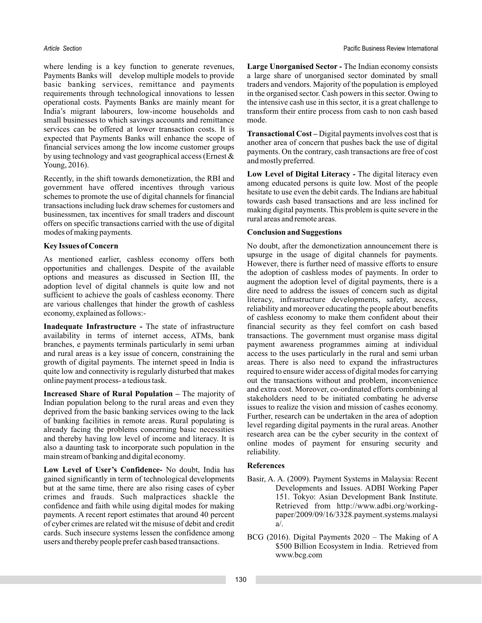where lending is a key function to generate revenues, Payments Banks will develop multiple models to provide basic banking services, remittance and payments requirements through technological innovations to lessen operational costs. Payments Banks are mainly meant for India's migrant labourers, low-income households and small businesses to which savings accounts and remittance services can be offered at lower transaction costs. It is expected that Payments Banks will enhance the scope of financial services among the low income customer groups by using technology and vast geographical access (Ernest & Young, 2016).

Recently, in the shift towards demonetization, the RBI and government have offered incentives through various schemes to promote the use of digital channels for financial transactions including luck draw schemes for customers and businessmen, tax incentives for small traders and discount offers on specific transactions carried with the use of digital modes of making payments.

### **Key Issues of Concern**

As mentioned earlier, cashless economy offers both opportunities and challenges. Despite of the available options and measures as discussed in Section III, the adoption level of digital channels is quite low and not sufficient to achieve the goals of cashless economy. There are various challenges that hinder the growth of cashless economy, explained as follows:-

Inadequate Infrastructure - The state of infrastructure availability in terms of internet access, ATMs, bank branches, e payments terminals particularly in semi urban and rural areas is a key issue of concern, constraining the growth of digital payments. The internet speed in India is quite low and connectivity is regularly disturbed that makes online payment process- a tedious task.

**Increased Share of Rural Population - The majority of** Indian population belong to the rural areas and even they deprived from the basic banking services owing to the lack of banking facilities in remote areas. Rural populating is already facing the problems concerning basic necessities and thereby having low level of income and literacy. It is also a daunting task to incorporate such population in the main stream of banking and digital economy.

Low Level of User's Confidence- No doubt, India has gained significantly in term of technological developments but at the same time, there are also rising cases of cyber crimes and frauds. Such malpractices shackle the confidence and faith while using digital modes for making payments. A recent report estimates that around 40 percent of cyber crimes are related wit the misuse of debit and credit cards. Such insecure systems lessen the confidence among users and thereby people prefer cash based transactions.

Large Unorganised Sector - The Indian economy consists a large share of unorganised sector dominated by small traders and vendors. Majority of the population is employed in the organised sector. Cash powers in this sector. Owing to the intensive cash use in this sector, it is a great challenge to transform their entire process from cash to non cash based mode.

Transactional Cost - Digital payments involves cost that is another area of concern that pushes back the use of digital payments. On the contrary, cash transactions are free of cost and mostly preferred.

Low Level of Digital Literacy - The digital literacy even among educated persons is quite low. Most of the people hesitate to use even the debit cards. The Indians are habitual towards cash based transactions and are less inclined for making digital payments. This problem is quite severe in the rural areas and remote areas.

### **Conclusion and Suggestions**

No doubt, after the demonetization announcement there is upsurge in the usage of digital channels for payments. However, there is further need of massive efforts to ensure the adoption of cashless modes of payments. In order to augment the adoption level of digital payments, there is a dire need to address the issues of concern such as digital literacy, infrastructure developments, safety, access, reliability and moreover educating the people about benefits of cashless economy to make them confident about their financial security as they feel comfort on cash based transactions. The government must organise mass digital payment awareness programmes aiming at individual access to the uses particularly in the rural and semi urban areas. There is also need to expand the infrastructures required to ensure wider access of digital modes for carrying out the transactions without and problem, inconvenience and extra cost. Moreover, co-ordinated efforts combining al stakeholders need to be initiated combating he adverse issues to realize the vision and mission of cashes economy. Further, research can be undertaken in the area of adoption level regarding digital payments in the rural areas. Another research area can be the cyber security in the context of online modes of payment for ensuring security and reliability.

## **References**

- Basir, A. A. (2009). Payment Systems in Malaysia: Recent Developments and Issues. ADBI Working Paper 151. Tokyo: Asian Development Bank Institute. Retrieved from http://www.adbi.org/workingpaper/2009/09/16/3328.payment.systems.malaysi a/.
- BCG (2016). Digital Payments 2020 The Making of A \$500 Billion Ecosystem in India. Retrieved from www.bcg.com